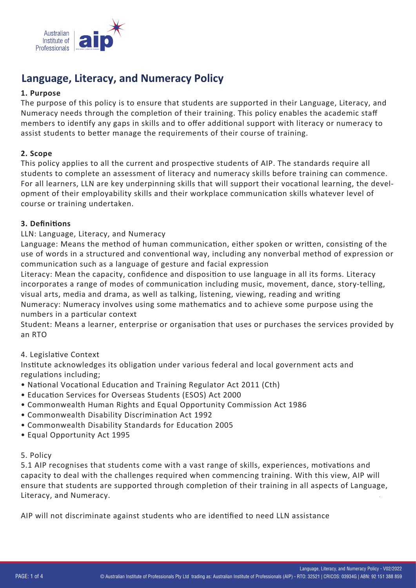

# **Language, Literacy, and Numeracy Policy**

### **1. Purpose**

The purpose of this policy is to ensure that students are supported in their Language, Literacy, and Numeracy needs through the completion of their training. This policy enables the academic staff members to iden�fy any gaps in skills and to offer addi�onal support with literacy or numeracy to assist students to better manage the requirements of their course of training.

### **2. Scope**

This policy applies to all the current and prospective students of AIP. The standards require all students to complete an assessment of literacy and numeracy skills before training can commence. For all learners, LLN are key underpinning skills that will support their vocational learning, the development of their employability skills and their workplace communication skills whatever level of course or training undertaken.

### **3. Defini�ons**

### LLN: Language, Literacy, and Numeracy

Language: Means the method of human communication, either spoken or written, consisting of the use of words in a structured and conventional way, including any nonverbal method of expression or communication such as a language of gesture and facial expression

Literacy: Mean the capacity, confidence and disposition to use language in all its forms. Literacy incorporates a range of modes of communication including music, movement, dance, story-telling, visual arts, media and drama, as well as talking, listening, viewing, reading and writing Numeracy: Numeracy involves using some mathema�cs and to achieve some purpose using the numbers in a particular context

Student: Means a learner, enterprise or organisation that uses or purchases the services provided by an RTO

# 4. Legislative Context

Institute acknowledges its obligation under various federal and local government acts and regulations including;

- National Vocational Education and Training Regulator Act 2011 (Cth)
- Education Services for Overseas Students (ESOS) Act 2000
- Commonwealth Human Rights and Equal Opportunity Commission Act 1986
- Commonwealth Disability Discrimination Act 1992
- Commonwealth Disability Standards for Education 2005
- Equal Opportunity Act 1995

#### 5. Policy

5.1 AIP recognises that students come with a vast range of skills, experiences, motivations and capacity to deal with the challenges required when commencing training. With this view, AIP will ensure that students are supported through completion of their training in all aspects of Language, Literacy, and Numeracy.

AIP will not discriminate against students who are iden�fied to need LLN assistance